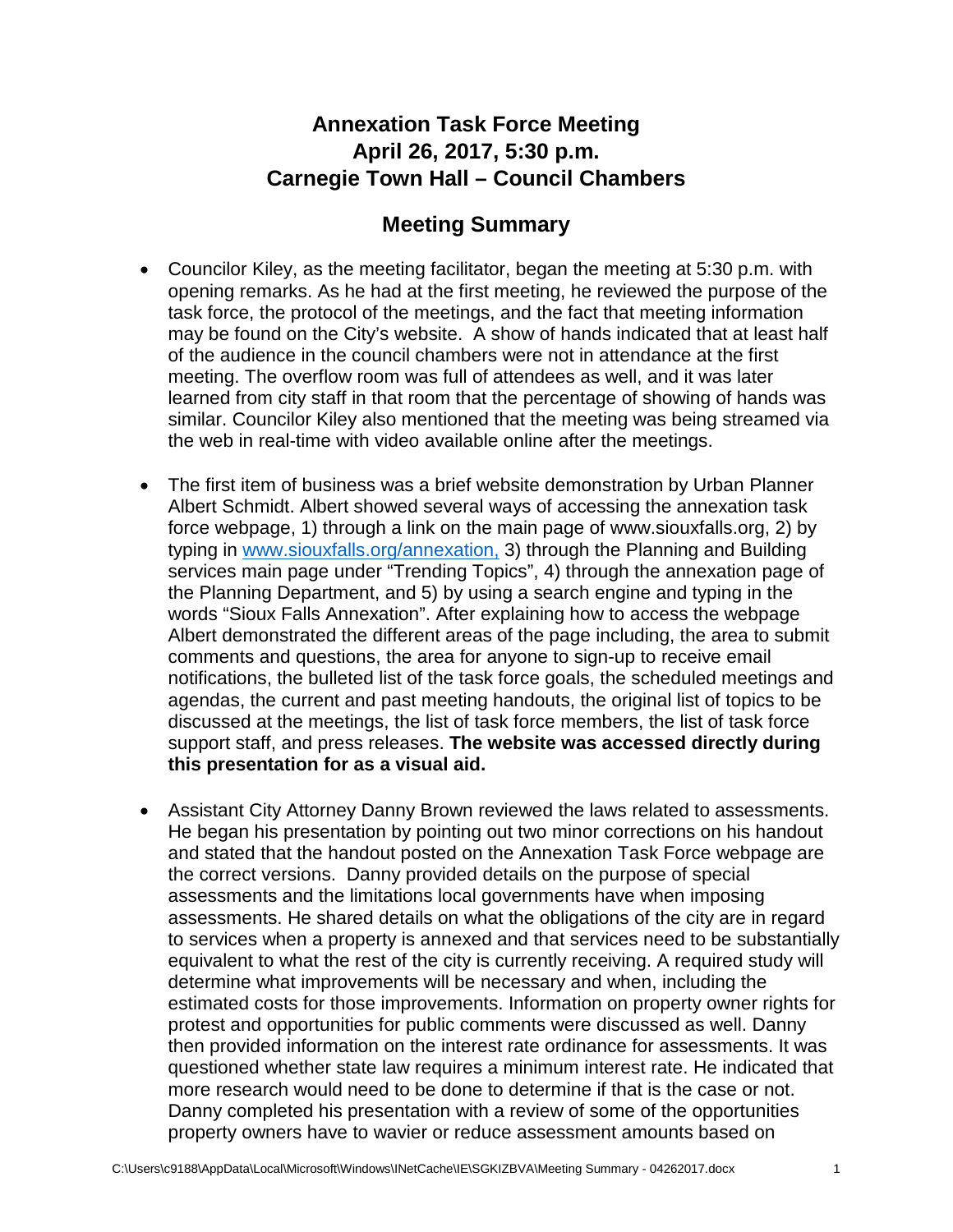## **Annexation Task Force Meeting April 26, 2017, 5:30 p.m. Carnegie Town Hall – Council Chambers**

## **Meeting Summary**

- Councilor Kiley, as the meeting facilitator, began the meeting at 5:30 p.m. with opening remarks. As he had at the first meeting, he reviewed the purpose of the task force, the protocol of the meetings, and the fact that meeting information may be found on the City's website. A show of hands indicated that at least half of the audience in the council chambers were not in attendance at the first meeting. The overflow room was full of attendees as well, and it was later learned from city staff in that room that the percentage of showing of hands was similar. Councilor Kiley also mentioned that the meeting was being streamed via the web in real-time with video available online after the meetings.
- The first item of business was a brief website demonstration by Urban Planner Albert Schmidt. Albert showed several ways of accessing the annexation task force webpage, 1) through a link on the main page of www.siouxfalls.org, 2) by typing in [www.siouxfalls.org/annexation,](http://www.siouxfalls.org/annexation) 3) through the Planning and Building services main page under "Trending Topics", 4) through the annexation page of the Planning Department, and 5) by using a search engine and typing in the words "Sioux Falls Annexation". After explaining how to access the webpage Albert demonstrated the different areas of the page including, the area to submit comments and questions, the area for anyone to sign-up to receive email notifications, the bulleted list of the task force goals, the scheduled meetings and agendas, the current and past meeting handouts, the original list of topics to be discussed at the meetings, the list of task force members, the list of task force support staff, and press releases. **The website was accessed directly during this presentation for as a visual aid.**
- Assistant City Attorney Danny Brown reviewed the laws related to assessments. He began his presentation by pointing out two minor corrections on his handout and stated that the handout posted on the Annexation Task Force webpage are the correct versions. Danny provided details on the purpose of special assessments and the limitations local governments have when imposing assessments. He shared details on what the obligations of the city are in regard to services when a property is annexed and that services need to be substantially equivalent to what the rest of the city is currently receiving. A required study will determine what improvements will be necessary and when, including the estimated costs for those improvements. Information on property owner rights for protest and opportunities for public comments were discussed as well. Danny then provided information on the interest rate ordinance for assessments. It was questioned whether state law requires a minimum interest rate. He indicated that more research would need to be done to determine if that is the case or not. Danny completed his presentation with a review of some of the opportunities property owners have to wavier or reduce assessment amounts based on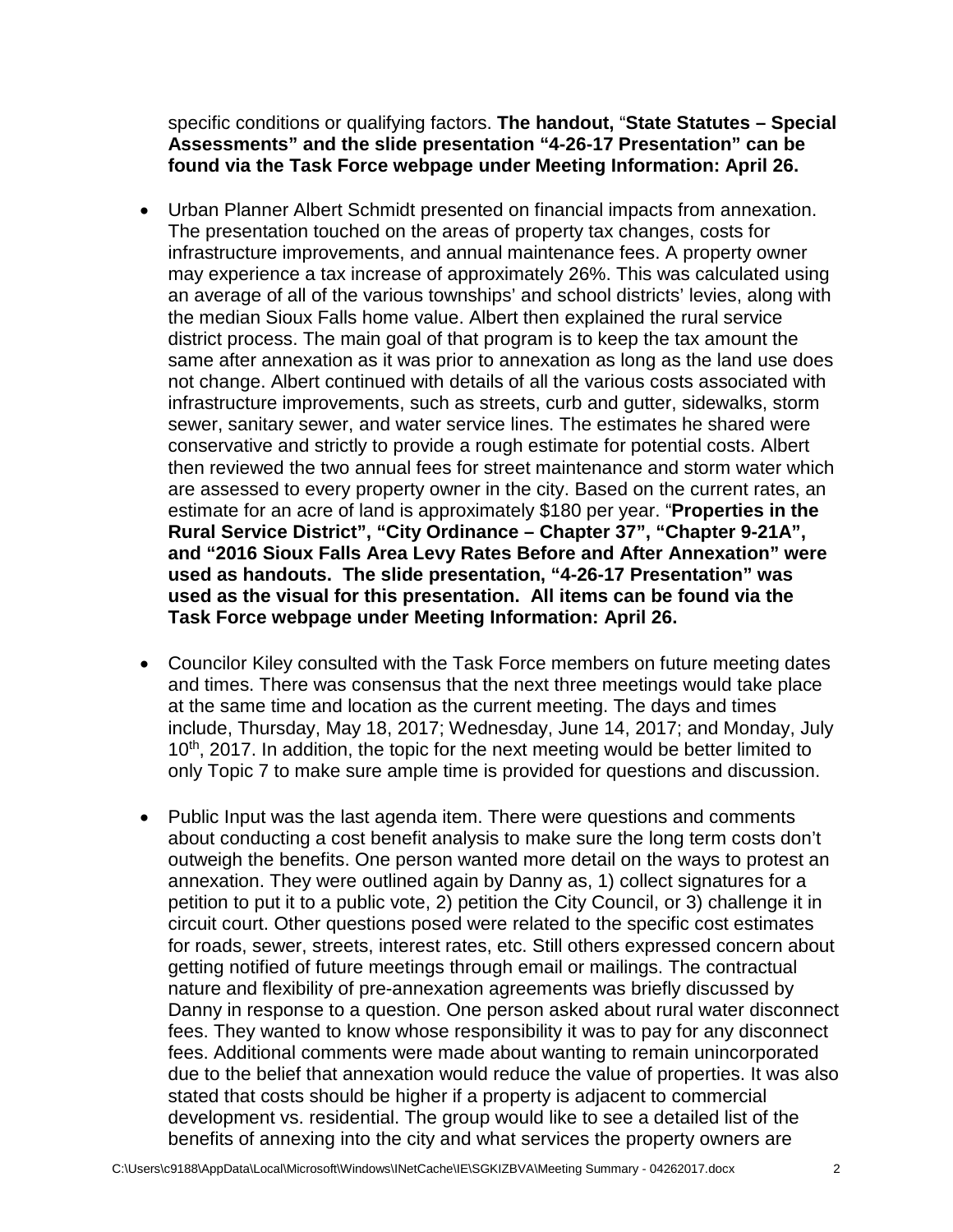specific conditions or qualifying factors. **The handout,** "**State Statutes – Special Assessments" and the slide presentation "4-26-17 Presentation" can be found via the Task Force webpage under Meeting Information: April 26.**

- Urban Planner Albert Schmidt presented on financial impacts from annexation. The presentation touched on the areas of property tax changes, costs for infrastructure improvements, and annual maintenance fees. A property owner may experience a tax increase of approximately 26%. This was calculated using an average of all of the various townships' and school districts' levies, along with the median Sioux Falls home value. Albert then explained the rural service district process. The main goal of that program is to keep the tax amount the same after annexation as it was prior to annexation as long as the land use does not change. Albert continued with details of all the various costs associated with infrastructure improvements, such as streets, curb and gutter, sidewalks, storm sewer, sanitary sewer, and water service lines. The estimates he shared were conservative and strictly to provide a rough estimate for potential costs. Albert then reviewed the two annual fees for street maintenance and storm water which are assessed to every property owner in the city. Based on the current rates, an estimate for an acre of land is approximately \$180 per year. "**Properties in the Rural Service District", "City Ordinance – Chapter 37", "Chapter 9-21A", and "2016 Sioux Falls Area Levy Rates Before and After Annexation" were used as handouts. The slide presentation, "4-26-17 Presentation" was used as the visual for this presentation. All items can be found via the Task Force webpage under Meeting Information: April 26.**
- Councilor Kiley consulted with the Task Force members on future meeting dates and times. There was consensus that the next three meetings would take place at the same time and location as the current meeting. The days and times include, Thursday, May 18, 2017; Wednesday, June 14, 2017; and Monday, July 10<sup>th</sup>, 2017. In addition, the topic for the next meeting would be better limited to only Topic 7 to make sure ample time is provided for questions and discussion.
- Public Input was the last agenda item. There were questions and comments about conducting a cost benefit analysis to make sure the long term costs don't outweigh the benefits. One person wanted more detail on the ways to protest an annexation. They were outlined again by Danny as, 1) collect signatures for a petition to put it to a public vote, 2) petition the City Council, or 3) challenge it in circuit court. Other questions posed were related to the specific cost estimates for roads, sewer, streets, interest rates, etc. Still others expressed concern about getting notified of future meetings through email or mailings. The contractual nature and flexibility of pre-annexation agreements was briefly discussed by Danny in response to a question. One person asked about rural water disconnect fees. They wanted to know whose responsibility it was to pay for any disconnect fees. Additional comments were made about wanting to remain unincorporated due to the belief that annexation would reduce the value of properties. It was also stated that costs should be higher if a property is adjacent to commercial development vs. residential. The group would like to see a detailed list of the benefits of annexing into the city and what services the property owners are